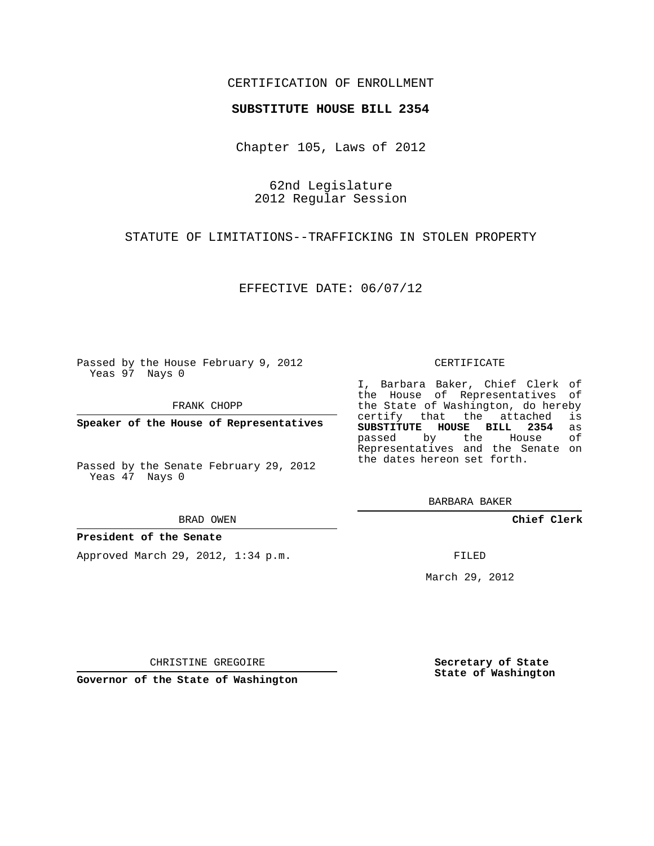## CERTIFICATION OF ENROLLMENT

### **SUBSTITUTE HOUSE BILL 2354**

Chapter 105, Laws of 2012

62nd Legislature 2012 Regular Session

STATUTE OF LIMITATIONS--TRAFFICKING IN STOLEN PROPERTY

EFFECTIVE DATE: 06/07/12

Passed by the House February 9, 2012 Yeas 97 Nays 0

FRANK CHOPP

**Speaker of the House of Representatives**

Passed by the Senate February 29, 2012 Yeas 47 Nays 0

#### BRAD OWEN

### **President of the Senate**

Approved March 29, 2012, 1:34 p.m.

#### CERTIFICATE

I, Barbara Baker, Chief Clerk of the House of Representatives of the State of Washington, do hereby<br>certify that the attached is certify that the attached **SUBSTITUTE HOUSE BILL 2354** as passed by the Representatives and the Senate on the dates hereon set forth.

BARBARA BAKER

**Chief Clerk**

FILED

March 29, 2012

**Secretary of State State of Washington**

CHRISTINE GREGOIRE

**Governor of the State of Washington**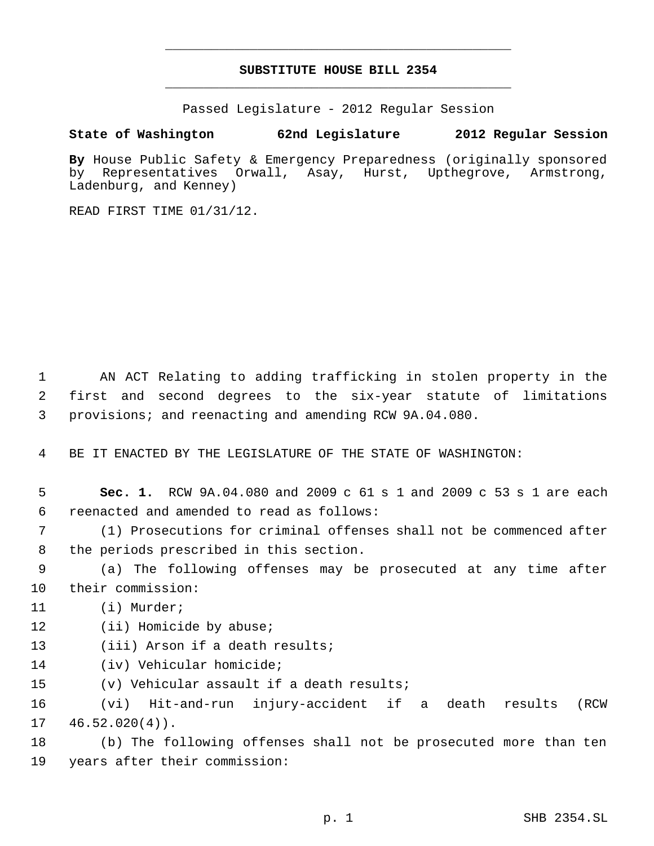# **SUBSTITUTE HOUSE BILL 2354** \_\_\_\_\_\_\_\_\_\_\_\_\_\_\_\_\_\_\_\_\_\_\_\_\_\_\_\_\_\_\_\_\_\_\_\_\_\_\_\_\_\_\_\_\_

\_\_\_\_\_\_\_\_\_\_\_\_\_\_\_\_\_\_\_\_\_\_\_\_\_\_\_\_\_\_\_\_\_\_\_\_\_\_\_\_\_\_\_\_\_

Passed Legislature - 2012 Regular Session

## **State of Washington 62nd Legislature 2012 Regular Session**

By House Public Safety & Emergency Preparedness (originally sponsored<br>by Representatives Orwall, Asay, Hurst, Uptheqrove, Armstrong, by Representatives Orwall, Asay, Hurst, Upthegrove, Armstrong, Ladenburg, and Kenney)

READ FIRST TIME 01/31/12.

 1 AN ACT Relating to adding trafficking in stolen property in the 2 first and second degrees to the six-year statute of limitations 3 provisions; and reenacting and amending RCW 9A.04.080.

4 BE IT ENACTED BY THE LEGISLATURE OF THE STATE OF WASHINGTON:

 5 **Sec. 1.** RCW 9A.04.080 and 2009 c 61 s 1 and 2009 c 53 s 1 are each 6 reenacted and amended to read as follows:

 7 (1) Prosecutions for criminal offenses shall not be commenced after 8 the periods prescribed in this section.

 9 (a) The following offenses may be prosecuted at any time after 10 their commission:

- 11 (i) Murder;
- 12 (ii) Homicide by abuse;
- 13 (iii) Arson if a death results;
- 14 (iv) Vehicular homicide;

15 (v) Vehicular assault if a death results;

16 (vi) Hit-and-run injury-accident if a death results (RCW  $17 \quad 46.52.020(4)$ .

18 (b) The following offenses shall not be prosecuted more than ten 19 years after their commission: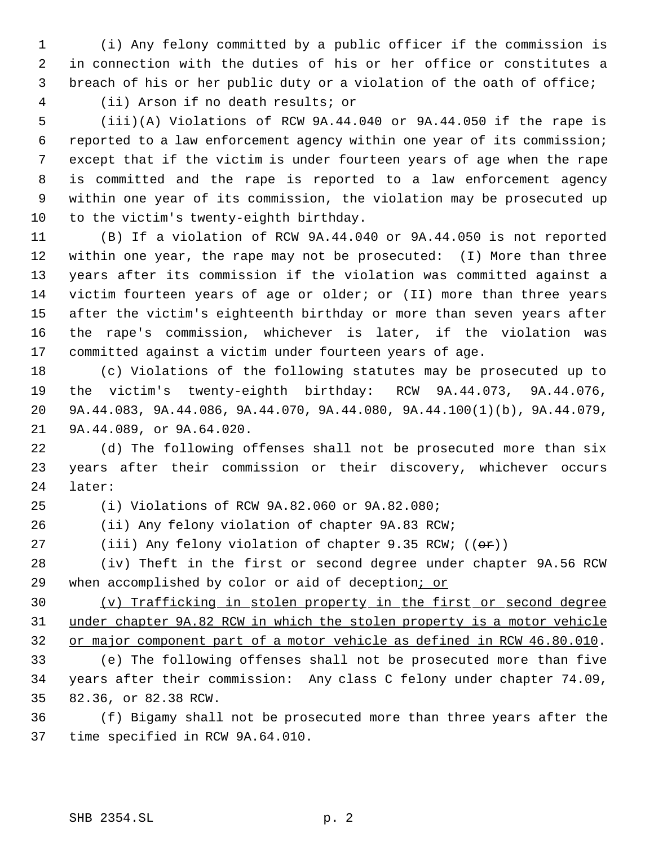(i) Any felony committed by a public officer if the commission is in connection with the duties of his or her office or constitutes a breach of his or her public duty or a violation of the oath of office;

(ii) Arson if no death results; or

 (iii)(A) Violations of RCW 9A.44.040 or 9A.44.050 if the rape is reported to a law enforcement agency within one year of its commission; except that if the victim is under fourteen years of age when the rape is committed and the rape is reported to a law enforcement agency within one year of its commission, the violation may be prosecuted up to the victim's twenty-eighth birthday.

 (B) If a violation of RCW 9A.44.040 or 9A.44.050 is not reported within one year, the rape may not be prosecuted: (I) More than three years after its commission if the violation was committed against a victim fourteen years of age or older; or (II) more than three years after the victim's eighteenth birthday or more than seven years after the rape's commission, whichever is later, if the violation was committed against a victim under fourteen years of age.

 (c) Violations of the following statutes may be prosecuted up to the victim's twenty-eighth birthday: RCW 9A.44.073, 9A.44.076, 9A.44.083, 9A.44.086, 9A.44.070, 9A.44.080, 9A.44.100(1)(b), 9A.44.079, 9A.44.089, or 9A.64.020.

 (d) The following offenses shall not be prosecuted more than six years after their commission or their discovery, whichever occurs later:

(i) Violations of RCW 9A.82.060 or 9A.82.080;

(ii) Any felony violation of chapter 9A.83 RCW;

27 (iii) Any felony violation of chapter 9.35 RCW;  $((\theta \hat{r}))$ 

 (iv) Theft in the first or second degree under chapter 9A.56 RCW 29 when accomplished by color or aid of deception; or

 (v) Trafficking in stolen property in the first or second degree under chapter 9A.82 RCW in which the stolen property is a motor vehicle or major component part of a motor vehicle as defined in RCW 46.80.010.

 (e) The following offenses shall not be prosecuted more than five years after their commission: Any class C felony under chapter 74.09, 82.36, or 82.38 RCW.

 (f) Bigamy shall not be prosecuted more than three years after the time specified in RCW 9A.64.010.